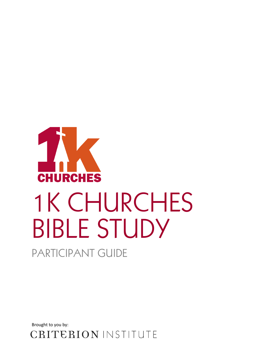

PARTICIPANT GUIDE

Brought to you by:

CRITERION INSTITUTE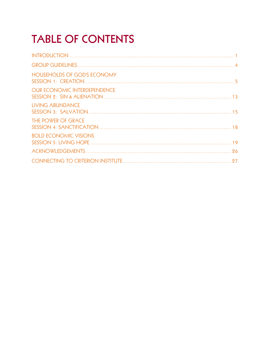# **TABLE OF CONTENTS**

| <b>HOUSEHOLDS OF GOD'S ECONOMY</b>  |  |
|-------------------------------------|--|
| <b>OUR ECONOMIC INTERDEPENDENCE</b> |  |
| <b>LIVING ABUNDANCE</b>             |  |
| <b>THE POWER OF GRACE</b>           |  |
| <b>BOLD ECONOMIC VISIONS</b>        |  |
|                                     |  |
|                                     |  |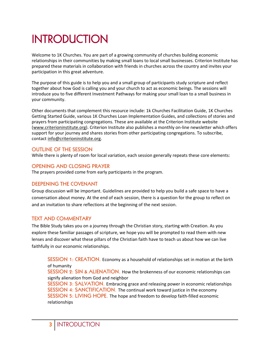## INTRODUCTION

Welcome to 1K Churches. You are part of a growing community of churches building economic relationships in their communities by making small loans to local small businesses. Criterion Institute has prepared these materials in collaboration with friends in churches across the country and invites your participation in this great adventure.

The purpose of this guide is to help you and a small group of participants study scripture and reflect together about how God is calling you and your church to act as economic beings. The sessions will introduce you to five different Investment Pathways for making your small loan to a small business in your community.

Other documents that complement this resource include: 1k Churches Facilitation Guide, 1K Churches Getting Started Guide, various 1K Churches Loan Implementation Guides, and collections of stories and prayers from participating congregations. These are available at the Criterion Institute website [\(www.criterioninstitute.org\)](http://www.criterioninstitute.org/). Criterion Institute also publishes a monthly on-line newsletter which offers support for your journey and shares stories from other participating congregations. To subscribe, contact [info@criterioninstitute.org.](mailto:info@criterioninstitute.org)

### **OUTLINE OF THE SESSION**

While there is plenty of room for local variation, each session generally repeats these core elements:

### **OPENING AND CLOSING PRAYER**

The prayers provided come from early participants in the program.

### **DEEPENING THE COVENANT**

Group discussion will be important. Guidelines are provided to help you build a safe space to have a conversation about money. At the end of each session, there is a question for the group to reflect on and an invitation to share reflections at the beginning of the next session.

### **TEXT AND COMMENTARY**

The Bible Study takes you on a journey through the Christian story, starting with Creation. As you explore these familiar passages of scripture, we hope you will be prompted to read them with new lenses and discover what these pillars of the Christian faith have to teach us about how we can live faithfully in our economic relationships.

**SESSION 1: CREATION.** Economy as a household of relationships set in motion at the birth of humanity

**SESSION 2: SIN & ALIENATION.** How the brokenness of our economic relationships can signify alienation from God and neighbor

**SESSION 3: SALVATION.** Embracing grace and releasing power in economic relationships **SESSION 4: SANCTIFICATION.** The continual work toward justice in the economy **SESSION 5: LIVING HOPE.** The hope and freedom to develop faith-filled economic relationships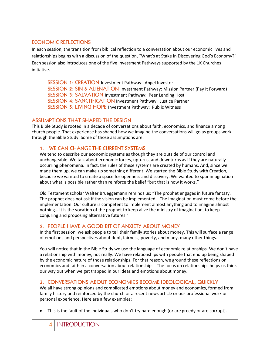### **ECONOMIC REFLECTIONS**

In each session, the transition from biblical reflection to a conversation about our economic lives and relationships begins with a discussion of the question, "What's at Stake in Discovering God's Economy?" Each session also introduces one of the five Investment Pathways supported by the 1K Churches initiative.

**SESSION 1: CREATION** Investment Pathway: Angel Investor **SESSION 2: SIN & ALIENATION** Investment Pathway: Mission Partner (Pay It Forward) **SESSION 3: SALVATION** Investment Pathway: Peer Lending Host **SESSION 4: SANCTIFICATION** Investment Pathway: Justice Partner **SESSION 5: LIVING HOPE** Investment Pathway: Public Witness

### **ASSUMPTIONS THAT SHAPED THE DESIGN**

This Bible Study is rooted in a decade of conversations about faith, economics, and finance among church people. That experience has shaped how we imagine the conversations will go as groups work through the Bible Study. Some of those assumptions are:

### **1. WE CAN CHANGE THE CURRENT SYSTEMS**

We tend to describe our economic systems as though they are outside of our control and unchangeable. We talk about economic forces, upturns, and downturns as if they are naturally occurring phenomena. In fact, the rules of these systems are created by humans. And, since we made them up, we can make up something different. We started the Bible Study with Creation, because we wanted to create a space for openness and discovery. We wanted to spur imagination about what is possible rather than reinforce the belief "but that is how it works."

Old Testament scholar Walter Brueggemann reminds us: "The prophet engages in future fantasy. The prophet does not ask if the vision can be implemented… The imagination must come before the implementation. Our culture is competent to implement almost anything and to imagine almost nothing… It is the vocation of the prophet to keep alive the ministry of imagination, to keep conjuring and proposing alternative futures."

### **2. PEOPLE HAVE A GOOD BIT OF ANXIETY ABOUT MONEY**

In the first session, we ask people to tell their family stories about money. This will surface a range of emotions and perspectives about debt, fairness, poverty, and many, many other things.

You will notice that in the Bible Study we use the language of economic relationships. We don't have a relationship with money, not really. We have relationships with people that end up being shaped by the economic nature of those relationships. For that reason, we ground these reflections on economics and faith in a conversation about relationships. The focus on relationships helps us think our way out when we get trapped in our ideas and emotions about money.

### **3. CONVERSATIONS ABOUT ECONOMICS BECOME IDEOLOGICAL, QUICKLY**

We all have strong opinions and complicated emotions about money and economics, formed from family history and reinforced by the church or a recent news article or our professional work or personal experience. Here are a few examples:

• This is the fault of the individuals who don't try hard enough (or are greedy or are corrupt).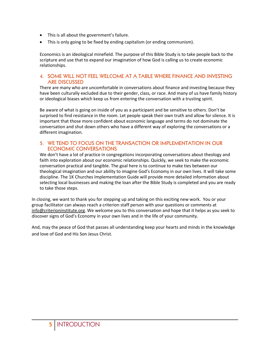- This is all about the government's failure.
- This is only going to be fixed by ending capitalism (or ending communism).

Economics is an ideological minefield. The purpose of this Bible Study is to take people back to the scripture and use that to expand our imagination of how God is calling us to create economic relationships.

#### **4. SOME WILL NOT FEEL WELCOME AT A TABLE WHERE FINANCE AND INVESTING ARE DISCUSSED**

There are many who are uncomfortable in conversations about finance and investing because they have been culturally excluded due to their gender, class, or race. And many of us have family history or ideological biases which keep us from entering the conversation with a trusting spirit.

Be aware of what is going on inside of you as a participant and be sensitive to others. Don't be surprised to find resistance in the room. Let people speak their own truth and allow for silence. It is important that those more confident about economic language and terms do not dominate the conversation and shut down others who have a different way of exploring the conversations or a different imagination.

### **5. WE TEND TO FOCUS ON THE TRANSACTION OR IMPLEMENTATION IN OUR ECONOMIC CONVERSATIONS**

We don't have a lot of practice in congregations incorporating conversations about theology and faith into exploration about our economic relationships. Quickly, we seek to make the economic conversation practical and tangible. The goal here is to continue to make ties between our theological imagination and our ability to imagine God's Economy in our own lives. It will take some discipline. The 1K Churches Implementation Guide will provide more detailed information about selecting local businesses and making the loan after the Bible Study is completed and you are ready to take those steps.

In closing, we want to thank you for stepping up and taking on this exciting new work. You or your group facilitator can always reach a criterion staff person with your questions or comments at [info@criterioninstitute.org.](mailto:info@criterioninstitute.org) We welcome you to this conversation and hope that it helps as you seek to discover signs of God's Economy in your own lives and in the life of your community.

And, may the peace of God that passes all understanding keep your hearts and minds in the knowledge and love of God and His Son Jesus Christ.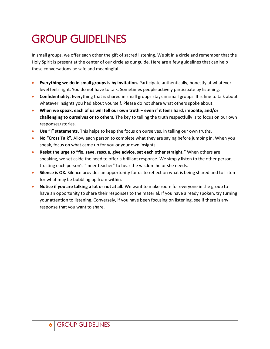## GROUP GUIDELINES

In small groups, we offer each other the gift of sacred listening. We sit in a circle and remember that the Holy Spirit is present at the center of our circle as our guide. Here are a few guidelines that can help these conversations be safe and meaningful.

- **Everything we do in small groups is by invitation.** Participate authentically, honestly at whatever level feels right. You do not have to talk. Sometimes people actively participate by listening.
- **Confidentiality.** Everything that is shared in small groups stays in small groups. It is fine to talk about whatever insights you had about yourself. Please do not share what others spoke about.
- **When we speak, each of us will tell our own truth – even if it feels hard, impolite, and/or challenging to ourselves or to others.** The key to telling the truth respectfully is to focus on our own responses/stories.
- **Use "I" statements.** This helps to keep the focus on ourselves, in telling our own truths.
- **No "Cross Talk".** Allow each person to complete what they are saying before jumping in. When you speak, focus on what came up for you or your own insights.
- **Resist the urge to "fix, save, rescue, give advice, set each other straight."** When others are speaking, we set aside the need to offer a brilliant response. We simply listen to the other person, trusting each person's "inner teacher" to hear the wisdom he or she needs.
- **Silence is OK.** Silence provides an opportunity for us to reflect on what is being shared and to listen for what may be bubbling up from within.
- **Notice if you are talking a lot or not at all.** We want to make room for everyone in the group to have an opportunity to share their responses to the material. If you have already spoken, try turning your attention to listening. Conversely, if you have been focusing on listening, see if there is any response that you want to share.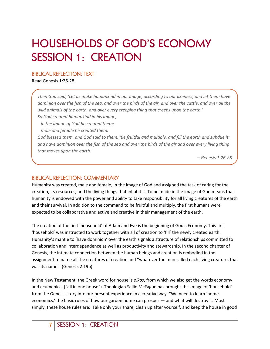## **HOUSEHOLDS OF GOD'S ECONOMY** SESSION 1: CREATION

#### BIBLICAL REFLECTION: TEXT

Read Genesis 1:26-28.

*Then God said, 'Let us make humankind in our image, according to our likeness; and let them have dominion over the fish of the sea, and over the birds of the air, and over the cattle, and over all the wild animals of the earth, and over every creeping thing that creeps upon the earth.' So God created humankind in his image,*

 *in the image of God he created them;*

 *male and female he created them.*

*God blessed them, and God said to them, 'Be fruitful and multiply, and fill the earth and subdue it; and have dominion over the fish of the sea and over the birds of the air and over every living thing that moves upon the earth.'*

*– Genesis 1:26-28*

### BIBLICAL REFLECTION: COMMENTARY

Humanity was created, male and female, in the image of God and assigned the task of caring for the creation, its resources, and the living things that inhabit it. To be made in the image of God means that humanity is endowed with the power and ability to take responsibility for all living creatures of the earth and their survival. In addition to the command to be fruitful and multiply, the first humans were expected to be collaborative and active and creative in their management of the earth.

The creation of the first 'household' of Adam and Eve is the beginning of God's Economy. This first 'household' was instructed to work together with all of creation to 'fill' the newly created earth. Humanity's mantle to 'have dominion' over the earth signals a structure of relationships committed to collaboration and interdependence as well as productivity and stewardship. In the second chapter of Genesis, the intimate connection between the human beings and creation is embodied in the assignment to name all the creatures of creation and "whatever the man called each living creature, that was its name." (Genesis 2:19b)

In the New Testament, the Greek word for house is *oikos*, from which we also get the words economy and ecumenical ("all in one house"). Theologian Sallie McFague has brought this image of 'household' from the Genesis story into our present experience in a creative way. "We need to learn 'home economics,' the basic rules of how our garden home can prosper — and what will destroy it. Most simply, these house rules are: Take only your share, clean up after yourself, and keep the house in good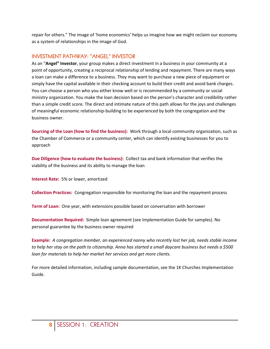repair for others." The image of 'home economics' helps us imagine how we might reclaim our economy as a system of relationships in the image of God.

### INVESTMENT PATHWAY: "ANGEL" INVESTOR

As an "**Angel" Investor**, your group makes a direct investment in a business in your community at a point of opportunity, creating a reciprocal relationship of lending and repayment. There are many ways a loan can make a difference to a business. They may want to purchase a new piece of equipment or simply have the capital available in their checking account to build their credit and avoid bank charges. You can choose a person who you either know well or is recommended by a community or social ministry organization. You make the loan decision based on the person's character and credibility rather than a simple credit score. The direct and intimate nature of this path allows for the joys and challenges of meaningful economic relationship-building to be experienced by both the congregation and the business owner.

**Sourcing of the Loan (how to find the business):** Work through a local community organization, such as the Chamber of Commerce or a community center, which can identify existing businesses for you to approach

**Due Diligence (how to evaluate the business):** Collect tax and bank information that verifies the viability of the business and its ability to manage the loan

**Interest Rate:** 5% or lower, amortized

**Collection Practices:** Congregation responsible for monitoring the loan and the repayment process

**Term of Loan:** One year, with extensions possible based on conversation with borrower

**Documentation Required:** Simple loan agreement (see Implementation Guide for samples). No personal guarantee by the business owner required

**Example:** *A congregation member, an experienced nanny who recently lost her job, needs stable income to help her stay on the path to citizenship. Anna has started a small daycare business but needs a \$500 loan for materials to help her market her services and get more clients.* 

For more detailed information, including sample documentation, see the 1K Churches Implementation Guide.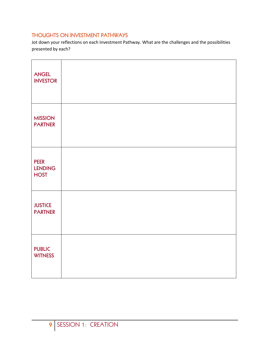### THOUGHTS ON INVESTMENT PATHWAYS

Jot down your reflections on each Investment Pathway. What are the challenges and the possibilities presented by each?

| <b>ANGEL</b><br><b>INVESTOR</b>              |  |  |
|----------------------------------------------|--|--|
| <b>MISSION</b><br><b>PARTNER</b>             |  |  |
| <b>PEER</b><br><b>LENDING</b><br><b>HOST</b> |  |  |
| <b>JUSTICE</b><br><b>PARTNER</b>             |  |  |
| <b>PUBLIC</b><br><b>WITNESS</b>              |  |  |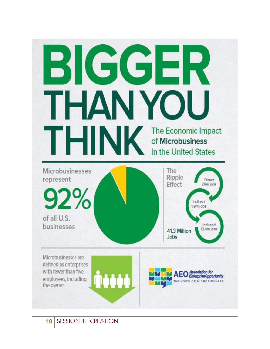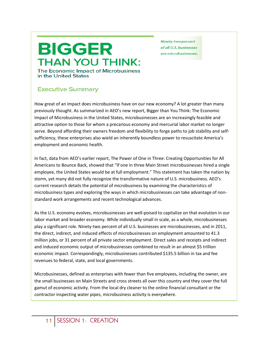### **BIGGER THAN YOU THINK:** The Economic Impact of Microbusiness

Ninety-two percent of all U.S. businesses are microbusinesses.

### **Executive Summary**

in the United States

How great of an impact does microbusiness have on our new economy? A lot greater than many previously thought. As summarized in AEO's new report, Bigger than You Think: The Economic Impact of Microbusiness in the United States, microbusinesses are an increasingly feasible and attractive option to those for whom a precarious economy and mercurial labor market no longer serve. Beyond affording their owners freedom and flexibility to forge paths to job stability and selfsufficiency, these enterprises also wield an inherently boundless power to resuscitate America's employment and economic health.

In fact, data from AEO's earlier report, The Power of One in Three: Creating Opportunities for All Americans to Bounce Back, showed that "If one in three Main Street microbusinesses hired a single employee, the United States would be at full employment." This statement has taken the nation by storm, yet many did not fully recognize the transformative nature of U.S. microbusiness. AEO's current research details the potential of microbusiness by examining the characteristics of microbusiness types and exploring the ways in which microbusinesses can take advantage of nonstandard work arrangements and recent technological advances.

As the U.S. economy evolves, microbusinesses are well-poised to capitalize on that evolution in our labor market and broader economy. While individually small in scale, as a whole, microbusinesses play a significant role. Ninety-two percent of all U.S. businesses are microbusinesses, and in 2011, the direct, indirect, and induced effects of microbusinesses on employment amounted to 41.3 million jobs, or 31 percent of all private sector employment. Direct sales and receipts and indirect and induced economic output of microbusinesses combined to result in an almost \$5 trillion economic impact. Correspondingly, microbusinesses contributed \$135.5 billion in tax and fee revenues to federal, state, and local governments.

Microbusinesses, defined as enterprises with fewer than five employees, including the owner, are the small businesses on Main Streets and cross streets all over this country and they cover the full gamut of economic activity. From the local dry cleaner to the online financial consultant or the contractor inspecting water pipes, microbusiness activity is everywhere.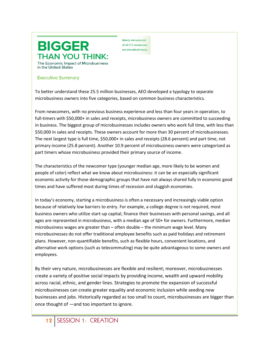

Ninety-two percent of all U.S. businesses are microbusinesses.

#### **Executive Summary**

To better understand these 25.5 million businesses, AEO developed a typology to separate microbusiness owners into five categories, based on common business characteristics.

From newcomers, with no previous business experience and less than four years in operation, to full-timers with \$50,000+ in sales and receipts, microbusiness owners are committed to succeeding in business. The biggest group of microbusinesses includes owners who work full time, with less than \$50,000 in sales and receipts. These owners account for more than 30 percent of microbusinesses. The next largest type is full time, \$50,000+ in sales and receipts (28.6 percent) and part time, not primary income (25.8 percent). Another 10.9 percent of microbusiness owners were categorized as part timers whose microbusiness provided their primary source of income.

The characteristics of the newcomer type (younger median age, more likely to be women and people of color) reflect what we know about microbusiness: it can be an especially significant economic activity for those demographic groups that have not always shared fully in economic good times and have suffered most during times of recession and sluggish economies.

In today's economy, starting a microbusiness is often a necessary and increasingly viable option because of relatively low barriers to entry. For example, a college degree is not required, most business owners who utilize start-up capital, finance their businesses with personal savings, and all ages are represented in microbusiness, with a median age of 50+ for owners. Furthermore, median microbusiness wages are greater than – often double – the minimum wage level. Many microbusinesses do not offer traditional employee benefits such as paid holidays and retirement plans. However, non-quantifiable benefits, such as flexible hours, convenient locations, and alternative work options (such as telecommuting) may be quite advantageous to some owners and employees.

By their very nature, microbusinesses are flexible and resilient; moreover, microbusinesses create a variety of positive social impacts by providing income, wealth and upward mobility across racial, ethnic, and gender lines. Strategies to promote the expansion of successful microbusinesses can create greater equality and economic inclusion while seeding new businesses and jobs. Historically regarded as too small to count, microbusinesses are bigger than once thought of —and too important to ignore.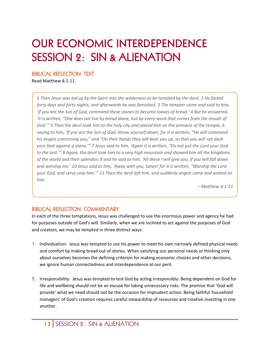### **OUR ECONOMIC INTERDEPENDENCE** SESSION 2: SIN & ALIENATION

#### BIBLICAL REFLECTION: TEXT

Read Matthew 4:1-11.

*1 Then Jesus was led up by the Spirit into the wilderness to be tempted by the devil. 2 He fasted forty days and forty nights, and afterwards he was famished. 3 The tempter came and said to him, 'If you are the Son of God, command these stones to become loaves of bread.' 4 But he answered, 'It is written, "One does not live by bread alone, but by every word that comes from the mouth of God.'" 5 Then the devil took him to the holy city and placed him on the pinnacle of the temple, 6 saying to him, 'If you are the Son of God, throw yourself down; for it is written, "He will command his angels concerning you," and "On their hands they will bear you up, so that you will not dash your foot against a stone.'" 7 Jesus said to him, 'Again it is written, "Do not put the Lord your God to the test.'" 8 Again, the devil took him to a very high mountain and showed him all the kingdoms of the world and their splendor; 9 and he said to him, 'All these I will give you, if you will fall down and worship me.' 10 Jesus said to him, 'Away with you, Satan! for it is written, "Worship the Lord your God, and serve only him.'" 11 Then the devil left him, and suddenly angels came and waited on him.*

*– Matthew 4:1-11*

### BIBLICAL REFLECTION: COMMENTARY

In each of the three temptations, Jesus was challenged to use the enormous power and agency he had for purposes outside of God's will. Similarly, when we are inclined to act against the purposes of God and creation, we may be tempted in three distinct ways:

- **1.** Individualism: Jesus was tempted to use his power to meet his own narrowly defined physical needs and comfort by making bread out of stones. When satisfying our personal needs or thinking only about ourselves becomes the defining criterion for making economic choices and other decisions, we ignore human connectedness and interdependence at our peril.
- **2.** Irresponsibility: Jesus was tempted to test God by acting irresponsibly. Being dependent on God for life and wellbeing should not be an excuse for taking unnecessary risks. The promise that 'God will provide' what we need should not be the occasion for imprudent action. Being faithful 'household managers' of God's creation requires careful stewardship of resources and creative investing in one another.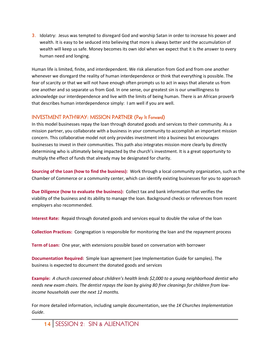**3.** Idolatry: Jesus was tempted to disregard God and worship Satan in order to increase his power and wealth. It is easy to be seduced into believing that more is always better and the accumulation of wealth will keep us safe. Money becomes its own idol when we expect that it is the answer to every human need and longing.

Human life is limited, finite, and interdependent. We risk alienation from God and from one another whenever we disregard the reality of human interdependence or think that everything is possible. The fear of scarcity or that we will not have enough often prompts us to act in ways that alienate us from one another and so separate us from God. In one sense, our greatest sin is our unwillingness to acknowledge our interdependence and live with the limits of being human. There is an African proverb that describes human interdependence simply: I am well if you are well.

### INVESTMENT PATHWAY: MISSION PARTNER (Pay It Forward)

In this model businesses repay the loan through donated goods and services to their community. As a mission partner, you collaborate with a business in your community to accomplish an important mission concern. This collaborative model not only provides investment into a business but encourages businesses to invest in their communities. This path also integrates mission more clearly by directly determining who is ultimately being impacted by the church's investment. It is a great opportunity to multiply the effect of funds that already may be designated for charity.

**Sourcing of the Loan (how to find the business):** Work through a local community organization, such as the Chamber of Commerce or a community center, which can identify existing businesses for you to approach

**Due Diligence (how to evaluate the business):** Collect tax and bank information that verifies the viability of the business and its ability to manage the loan. Background checks or references from recent employers also recommended.

**Interest Rate:** Repaid through donated goods and services equal to double the value of the loan

**Collection Practices:** Congregation is responsible for monitoring the loan and the repayment process

**Term of Loan:** One year, with extensions possible based on conversation with borrower

**Documentation Required:** Simple loan agreement (see Implementation Guide for samples). The business is expected to document the donated goods and services

**Example:** *A church concerned about children's health lends \$2,000 to a young neighborhood dentist who needs new exam chairs. The dentist repays the loan by giving 80 free cleanings for children from lowincome households over the next 12 months.*

For more detailed information, including sample documentation, see the *1K Churches Implementation Guide*.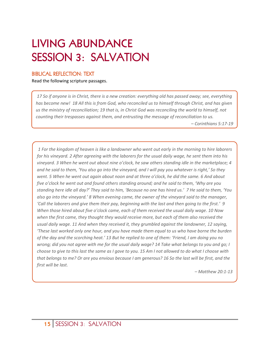## **LIVING ABUNDANCE** SESSION 3: SALVATION

### BIBLICAL REFLECTION: TEXT

Read the following scripture passages.

*17 So if anyone is in Christ, there is a new creation: everything old has passed away; see, everything has become new! 18 All this is from God, who reconciled us to himself through Christ, and has given us the ministry of reconciliation; 19 that is, in Christ God was reconciling the world to himself, not counting their trespasses against them, and entrusting the message of reconciliation to us.*

*– Corinthians 5:17-19*

*1 For the kingdom of heaven is like a landowner who went out early in the morning to hire laborers for his vineyard. 2 After agreeing with the laborers for the usual daily wage, he sent them into his vineyard. 3 When he went out about nine o'clock, he saw others standing idle in the marketplace; 4 and he said to them, 'You also go into the vineyard, and I will pay you whatever is right,' So they went. 5 When he went out again about noon and at three o'clock, he did the same. 6 And about five o'clock he went out and found others standing around; and he said to them, 'Why are you standing here idle all day?' They said to him, 'Because no one has hired us.' 7 He said to them, 'You also go into the vineyard.' 8 When evening came, the owner of the vineyard said to the manager, 'Call the laborers and give them their pay, beginning with the last and then going to the first.' 9 When those hired about five o'clock came, each of them received the usual daily wage. 10 Now when the first came, they thought they would receive more, but each of them also received the usual daily wage. 11 And when they received it, they grumbled against the landowner, 12 saying, 'These last worked only one hour, and you have made them equal to us who have borne the burden of the day and the scorching heat.' 13 But he replied to one of them: 'Friend, I am doing you no wrong; did you not agree with me for the usual daily wage? 14 Take what belongs to you and go; I choose to give to this last the same as I gave to you. 15 Am I not allowed to do what I choose with that belongs to me? Or are you envious because I am generous? 16 So the last will be first, and the first will be last.*

*– Matthew 20:1-13*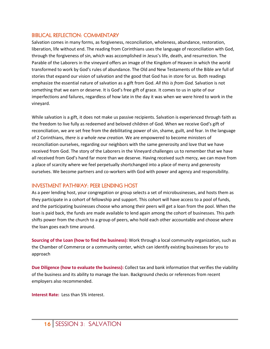### BIBLICAL REFLECTION: COMMENTARY

Salvation comes in many forms, as forgiveness, reconciliation, wholeness, abundance, restoration, liberation, life without end. The reading from Corinthians uses the language of reconciliation with God, through the forgiveness of sin, which was accomplished in Jesus's life, death, and resurrection. The Parable of the Laborers in the vineyard offers an image of the Kingdom of Heaven in which the world transformed to work by God's rules of abundance. The Old and New Testaments of the Bible are full of stories that expand our vision of salvation and the good that God has in store for us. Both readings emphasize the essential nature of salvation as a gift from God. *All this is from God.* Salvation is not something that we earn or deserve. It is God's free gift of grace. It comes to us in spite of our imperfections and failures, regardless of how late in the day it was when we were hired to work in the vineyard.

While salvation is a gift, it does not make us passive recipients. Salvation is experienced through faith as the freedom to live fully as redeemed and beloved children of God. When we receive God's gift of reconciliation, we are set free from the debilitating power of sin, shame, guilt, and fear. In the language of 2 Corinthians, *there is a whole new creation*. We are empowered to become ministers of reconciliation ourselves, regarding our neighbors with the same generosity and love that we have received from God. The story of the Laborers in the Vineyard challenges us to remember that we have all received from God's hand far more than we deserve. Having received such mercy, we can move from a place of scarcity where we feel perpetually shortchanged into a place of mercy and generosity ourselves. We become partners and co-workers with God with power and agency and responsibility.

### INVESTMENT PATHWAY: PEER LENDING HOST

As a peer lending host, your congregation or group selects a set of microbusinesses, and hosts them as they participate in a cohort of fellowship and support. This cohort will have access to a pool of funds, and the participating businesses choose who among their peers will get a loan from the pool. When the loan is paid back, the funds are made available to lend again among the cohort of businesses. This path shifts power from the church to a group of peers, who hold each other accountable and choose where the loan goes each time around.

**Sourcing of the Loan (how to find the business):** Work through a local community organization, such as the Chamber of Commerce or a community center, which can identify existing businesses for you to approach

**Due Diligence (how to evaluate the business):** Collect tax and bank information that verifies the viability of the business and its ability to manage the loan. Background checks or references from recent employers also recommended.

**Interest Rate:** Less than 5% interest.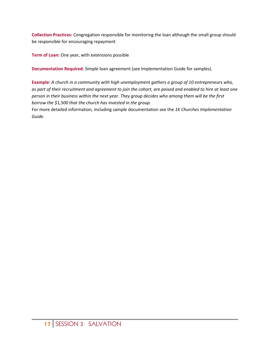**Collection Practices:** Congregation responsible for monitoring the loan although the small group should be responsible for encouraging repayment

**Term of Loan:** One year, with extensions possible

**Documentation Required:** Simple loan agreement (see Implementation Guide for samples).

**Example:** *A church in a community with high unemployment gathers a group of 10 entrepreneurs who, as part of their recruitment and agreement to join the cohort, are poised and enabled to hire at least one person in their business within the next year. They group decides who among them will be the first borrow the \$1,500 that the church has invested in the group.*

For more detailed information, including sample documentation see the *1K Churches Implementation Guide*.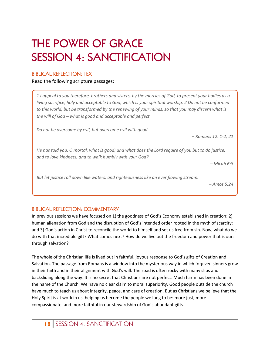## **THE POWER OF GRACE** SESSION 4: SANCTIFICATION

### BIBLICAL REFLECTION: TEXT

Read the following scripture passages:

*1 I appeal to you therefore, brothers and sisters, by the mercies of God, to present your bodies as a living sacrifice, holy and acceptable to God, which is your spiritual worship. 2 Do not be conformed to this world, but be transformed by the renewing of your minds, so that you may discern what is the will of God – what is good and acceptable and perfect.* 

*Do not be overcome by evil, but overcome evil with good.* 

*– Romans 12: 1-2; 21*

*He has told you, O mortal, what is good; and what does the Lord require of you but to do justice, and to love kindness, and to walk humbly with your God?*

*– Micah 6:8*

*But let justice roll down like waters, and righteousness like an ever flowing stream.* 

*– Amos 5:24*

### BIBLICAL REFLECTION: COMMENTARY

In previous sessions we have focused on 1) the goodness of God's Economy established in creation; 2) human alienation from God and the disruption of God's intended order rooted in the myth of scarcity; and 3) God's action in Christ to reconcile the world to himself and set us free from sin. Now, what do we do with that incredible gift? What comes next? How do we live out the freedom and power that is ours through salvation?

The whole of the Christian life is lived out in faithful, joyous response to God's gifts of Creation and Salvation. The passage from Romans is a window into the mysterious way in which forgiven sinners grow in their faith and in their alignment with God's will. The road is often rocky with many slips and backsliding along the way. It is no secret that Christians are not perfect. Much harm has been done in the name of the Church. We have no clear claim to moral superiority. Good people outside the church have much to teach us about integrity, peace, and care of creation. But as Christians we believe that the Holy Spirit is at work in us, helping us become the people we long to be: more just, more compassionate, and more faithful in our stewardship of God's abundant gifts.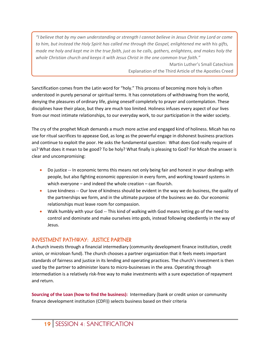*"I believe that by my own understanding or strength I cannot believe in Jesus Christ my Lord or come to him, but instead the Holy Spirit has called me through the Gospel, enlightened me with his gifts, made me holy and kept me in the true faith, just as he calls, gathers, enlightens, and makes holy the whole Christian church and keeps it with Jesus Christ in the one common true faith."* 

> Martin Luther's Small Catechism Explanation of the Third Article of the Apostles Creed

Sanctification comes from the Latin word for "holy." This process of becoming more holy is often understood in purely personal or spiritual terms. It has connotations of withdrawing from the world, denying the pleasures of ordinary life, giving oneself completely to prayer and contemplation. These disciplines have their place, but they are much too limited. Holiness infuses every aspect of our lives from our most intimate relationships, to our everyday work, to our participation in the wider society.

The cry of the prophet Micah demands a much more active and engaged kind of holiness. Micah has no use for ritual sacrifices to appease God, as long as the powerful engage in dishonest business practices and continue to exploit the poor. He asks the fundamental question: What does God really require of us? What does it mean to be good? To be holy? What finally is pleasing to God? For Micah the answer is clear and uncompromising:

- Do justice -- In economic terms this means not only being fair and honest in your dealings with people, but also fighting economic oppression in every form, and working toward systems in which everyone – and indeed the whole creation – can flourish.
- Love kindness -- Our love of kindness should be evident in the way we do business, the quality of the partnerships we form, and in the ultimate purpose of the business we do. Our economic relationships must leave room for compassion.
- Walk humbly with your God -- This kind of walking with God means letting go of the need to control and dominate and make ourselves into gods, instead following obediently in the way of Jesus.

### INVESTMENT PATHWAY: JUSTICE PARTNER

A church invests through a financial intermediary (community development finance institution, credit union, or microloan fund). The church chooses a partner organization that it feels meets important standards of fairness and justice in its lending and operating practices. The church's investment is then used by the partner to administer loans to micro-businesses in the area. Operating through intermediation is a relatively risk-free way to make investments with a sure expectation of repayment and return.

**Sourcing of the Loan (how to find the business):** Intermediary (bank or credit union or community finance development institution (CDFI)) selects business based on their criteria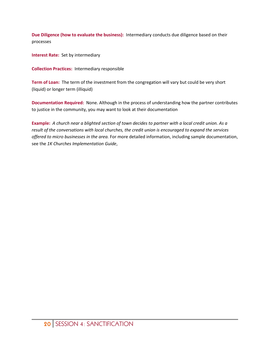**Due Diligence (how to evaluate the business):** Intermediary conducts due diligence based on their processes

**Interest Rate:** Set by intermediary

**Collection Practices:** Intermediary responsible

**Term of Loan:** The term of the investment from the congregation will vary but could be very short (liquid) or longer term (illiquid)

**Documentation Required:** None. Although in the process of understanding how the partner contributes to justice in the community, you may want to look at their documentation

**Example:** *A church near a blighted section of town decides to partner with a local credit union. As a result of the conversations with local churches, the credit union is encouraged to expand the services offered to micro businesses in the area.* For more detailed information, including sample documentation, see the *1K Churches Implementation Guide*,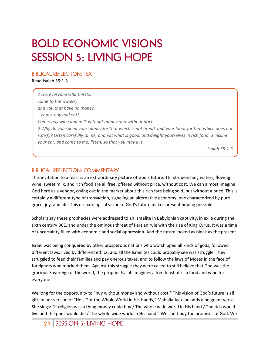## **BOLD ECONOMIC VISIONS** SESSION 5: LIVING HOPE

### BIBLICAL REFLECTION: TEXT

Read Isaiah 55:1-3.

*1 Ho, everyone who thirsts, come to the waters; and you that have no money, come, buy and eat! Come, buy wine and milk without money and without price. 2 Why do you spend your money for that which is not bread, and your labor for that which does not satisfy? Listen carefully to me, and eat what is good, and delight yourselves in rich food. 3 Incline your ear, and come to me; listen, so that you may live.* 

*– Isaiah 55:1-3*

### BIBLICAL REFLECTION: COMMENTARY

This invitation to a feast is an extraordinary picture of God's future. Thirst-quenching waters, flowing wine, sweet milk, and rich food are all free, offered without price, without cost. We can almost imagine God here as a vendor, crying out in the market about this rich fare being sold, but without a price. This is certainly a different type of transaction, signaling an alternative economy, one characterized by pure grace, joy, and life. This eschatological vision of God's future makes present hoping possible.

Scholars say these prophecies were addressed to an Israelite in Babylonian captivity, in exile during the sixth century BCE, and under the ominous threat of Persian rule with the rise of King Cyrus. It was a time of uncertainty filled with economic and social oppression. And the future looked as bleak as the present.

Israel was being conquered by other prosperous nations who worshipped all kinds of gods, followed different laws, lived by different ethics, and all the Israelites could probably see was struggle. They struggled to feed their families and pay onerous taxes, and to follow the laws of Moses in the face of foreigners who mocked them. Against this struggle they were called to still believe that God was the gracious Sovereign of the world, the prophet Isaiah imagines a free feast of rich food and wine for everyone.

We long for the opportunity to "buy without money and without cost." This vision of God's future is all gift. In her version of "He's Got the Whole World in His Hands," Mahalia Jackson adds a poignant verse. She sings: "If religion was a thing money could buy / The whole wide world in His hand / The rich would live and the poor would die / The whole wide world in His hand." We can't buy the promises of God. We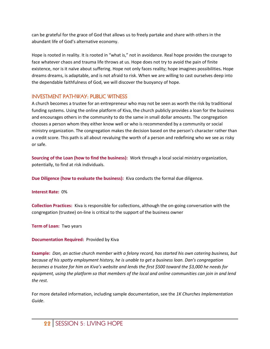can be grateful for the grace of God that allows us to freely partake and share with others in the abundant life of God's alternative economy.

Hope is rooted in reality. It is rooted in "what is," not in avoidance. Real hope provides the courage to face whatever chaos and trauma life throws at us. Hope does not try to avoid the pain of finite existence, nor is it naïve about suffering. Hope not only faces reality; hope imagines possibilities**.** Hope dreams dreams, is adaptable, and is not afraid to risk. When we are willing to cast ourselves deep into the dependable faithfulness of God, we will discover the buoyancy of hope.

### INVESTMENT PATHWAY: PUBLIC WITNESS

A church becomes a trustee for an entrepreneur who may not be seen as worth the risk by traditional funding systems. Using the online platform of Kiva, the church publicly provides a loan for the business and encourages others in the community to do the same in small dollar amounts. The congregation chooses a person whom they either know well or who is recommended by a community or social ministry organization. The congregation makes the decision based on the person's character rather than a credit score. This path is all about revaluing the worth of a person and redefining who we see as risky or safe.

**Sourcing of the Loan (how to find the business):** Work through a local social ministry organization, potentially, to find at risk individuals.

**Due Diligence (how to evaluate the business):** Kiva conducts the formal due diligence.

**Interest Rate:** 0%

**Collection Practices:** Kiva is responsible for collections, although the on-going conversation with the congregation (trustee) on-line is critical to the support of the business owner

**Term of Loan:** Two years

### **Documentation Required:** Provided by Kiva

**Example:** *Dan, an active church member with a felony record, has started his own catering business, but because of his spotty employment history, he is unable to get a business loan. Dan's congregation becomes a trustee for him on Kiva's website and lends the first \$500 toward the \$3,000 he needs for equipment, using the platform so that members of the local and online communities can join in and lend the rest.*

For more detailed information, including sample documentation, see the *1K Churches Implementation Guide*.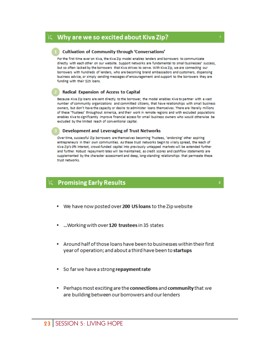### **Why are we so excited about Kiva Zip?**

#### Cultivation of Community through 'Conversations'

For the first time ever on Kiva, the Kiva Zip model enables lenders and borrowers to communicate directly with each other on our website. Support networks are fundamental to small businesses' success, but so often lacked by the borrowers that Kiva strives to serve. With Kiva Zip, we are connecting our borrowers with hundreds of lenders, who are becoming brand ambassadors and customers, dispensing business advice, or simply sending messages of encouragement and support to the borrowers they are funding with their \$25 loans.

#### Radical Expansion of Access to Capital

Because Kiva Zip loans are sent directly to the borrower, the model enables Kiva to partner with a vast number of community organizations and committed citizens, that have relationships with small business owners, but don't have the capacity or desire to administer loans themselves. There are literally millions of these 'Trustees' throughout America, and their work in remote regions and with excluded populations enables Kiva to significantly improve financial access for small business owners who would otherwise be excluded by the limited reach of conventional capital.

#### Development and Leveraging of Trust Networks

Over time, successful Zip borrowers are themselves becoming Trustees, 'endorsing' other aspiring entrepreneurs in their own communities. As these trust networks begin to virally spread, the reach of Kiva Zip's 0% interest, crowd-funded capital into previously untapped markets will be extended further and further. Robust repayment rates will be maintained, as credit scores and cashflow statements are supplemented by the character assessment and deep, long-standing relationships that permeate these trust networks.

### **Promising Early Results**

- We have now posted over 200 US loans to the Zip website
- ... Working with over 120 trustees in 35 states ٠
- Around half of those loans have been to businesses within their first year of operation; and about a third have been to startups
- So far we have a strong repayment rate
- Perhaps most exciting are the connections and community that we  $\bullet$ are building between our borrowers and our lenders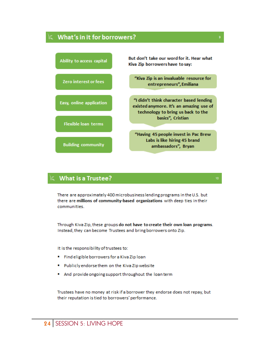### What's in it for borrowers?



### **What is a Trustee?**

There are approximately 400 microbusiness lending programs in the U.S. but there are millions of community-based organizations with deep ties in their communities.

Through Kiva Zip, these groups do not have to create their own loan programs. Instead, they can become Trustees and bring borrowers onto Zip.

It is the responsibility of trustees to:

- " Find eligible borrowers for a Kiva Zip loan
- $\blacksquare$ Publicly endorse them on the Kiva Zip website
- And provide ongoing support throughout the loan term

Trustees have no money at risk if a borrower they endorse does not repay, but their reputation is tied to borrowers' performance.

### **24** SESSION 5: LIVING HOPE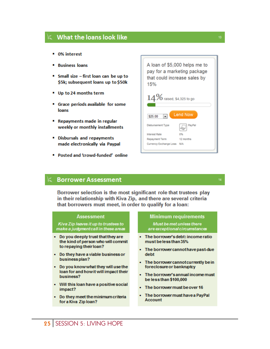### What the loans look like

- 0% interest
- **Business loans**
- Small size first loan can be up to \$5k; subsequent loans up to \$50k
- Up to 24 months term
- Grace periods available for some loans
- " Repayments made in regular weekly or monthly installments
- Disbursals and repayments made electronically via Paypal
- " Posted and 'crowd-funded' online

### A loan of \$5,000 helps me to pay for a marketing package that could increase sales by 15%



#### **Borrower Assessment**

Borrower selection is the most significant role that trustees play in their relationship with Kiva Zip, and there are several criteria that borrowers must meet, in order to qualify for a loan:

#### **Assessment**

Kiva Zip leaves it up to trustees to make a judgment call in these areas

- Do you deeply trust that they are the kind of person who will commit to repaying their loan?
- Do they have a viable business or business plan?
- Do you know what they will use the loan for and how it will impact their business?
- Will this loan have a positive social impact?
- Do they meet the minimum criteria for a Kiva Zip loan?

#### **Minimum requirements**

**Must be met unless there** are exceptional circumstances

- The borrower's debt: income ratio must be less than 35%
- The borrower cannot have past-due debt
- The borrower cannot currently be in foreclosure or bankruptcy
- The borrower's annual income must be less than \$100,000
- The borrower must be over 16
- The borrower must have a PayPal **Account**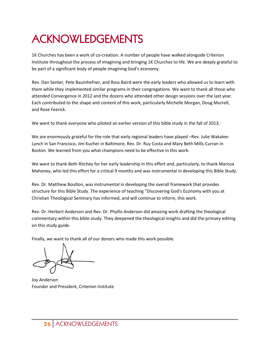## ACKNOWLEDGEMENTS

1K Churches has been a work of co-creation. A number of people have walked alongside Criterion Institute throughout the process of imagining and bringing 1K Churches to life. We are deeply grateful to be part of a significant body of people imagining God's economy.

Rev. Dan Senter, Pete Baumhefner, and Ross Baird were the early leaders who allowed us to learn with them while they implemented similar programs in their congregations. We want to thank all those who attended Convergence in 2012 and the dozens who attended other design sessions over the last year. Each contributed to the shape and content of this work, particularly Michelle Morgan, Doug Murrell, and Rose Feerick.

We want to thank everyone who piloted an earlier version of this bible study in the fall of 2013.

We are enormously grateful for the role that early regional leaders have played –Rev. Julie Wakalee-Lynch in San Francisco, Jim Kucher in Baltimore, Rev. Dr. Ruy Costa and Mary Beth Mills-Curran in Boston. We learned from you what champions need to be effective in this work.

We want to thank Beth Ritchey for her early leadership in this effort and, particularly, to thank Marissa Mahoney, who led this effort for a critical 9 months and was instrumental in developing this Bible Study.

Rev. Dr. Matthew Boulton, was instrumental in developing the overall framework that provides structure for this Bible Study. The experience of teaching "Discovering God's Economy with you at Christian Theological Seminary has informed, and will continue to inform, this work.

Rev. Dr. Herbert Anderson and Rev. Dr. Phyllis Anderson did amazing work drafting the theological commentary within this bible study. They deepened the theological insights and did the primary editing on this study guide.

Finally, we want to thank all of our donors who made this work possible.

Joy Anderson Founder and President, Criterion Institute